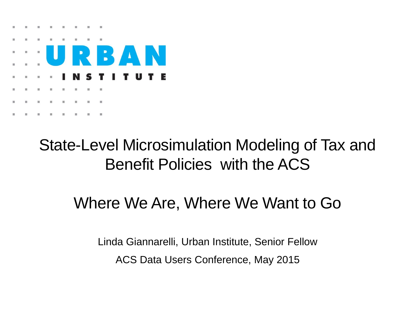

# State-Level Microsimulation Modeling of Tax and Benefit Policies with the ACS

## Where We Are, Where We Want to Go

Linda Giannarelli, Urban Institute, Senior Fellow ACS Data Users Conference, May 2015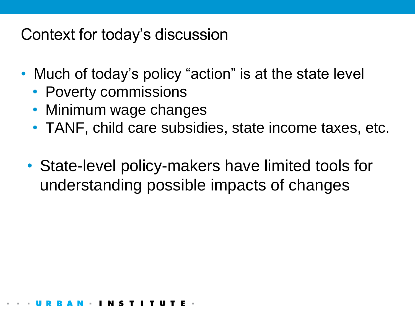## Context for today's discussion

- Much of today's policy "action" is at the state level
	- Poverty commissions
	- Minimum wage changes
	- TANF, child care subsidies, state income taxes, etc.
	- State-level policy-makers have limited tools for understanding possible impacts of changes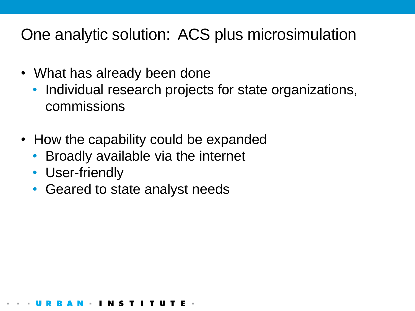# One analytic solution: ACS plus microsimulation

- What has already been done
	- Individual research projects for state organizations, commissions
- How the capability could be expanded
	- Broadly available via the internet
	- User-friendly
	- Geared to state analyst needs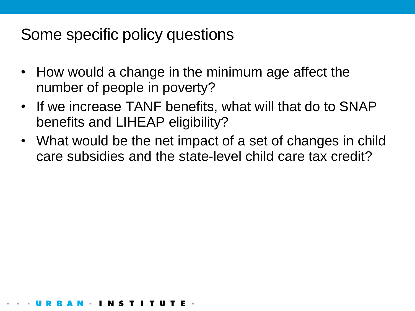# Some specific policy questions

- How would a change in the minimum age affect the number of people in poverty?
- If we increase TANF benefits, what will that do to SNAP benefits and LIHEAP eligibility?
- What would be the net impact of a set of changes in child care subsidies and the state-level child care tax credit?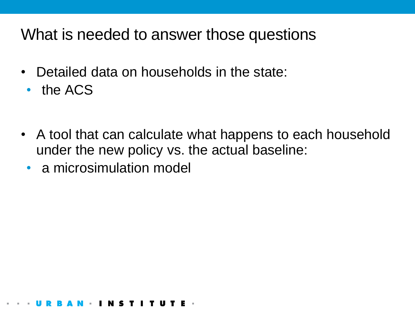What is needed to answer those questions

- Detailed data on households in the state:
	- the ACS
- A tool that can calculate what happens to each household under the new policy vs. the actual baseline:
	- a microsimulation model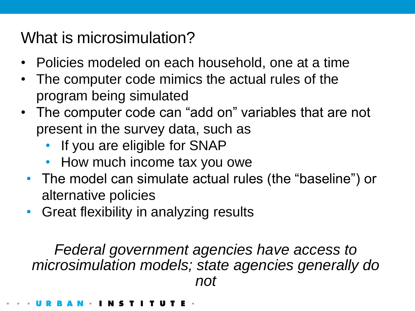# What is microsimulation?

- Policies modeled on each household, one at a time
- The computer code mimics the actual rules of the program being simulated
- The computer code can "add on" variables that are not present in the survey data, such as
	- If you are eligible for SNAP
	- How much income tax you owe
	- The model can simulate actual rules (the "baseline") or alternative policies
	- Great flexibility in analyzing results

*Federal government agencies have access to microsimulation models; state agencies generally do not*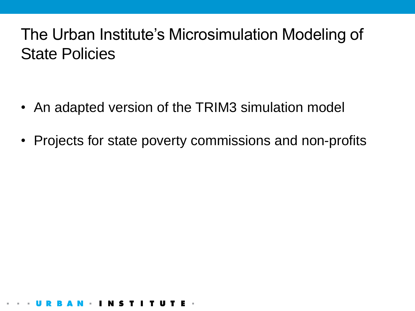# The Urban Institute's Microsimulation Modeling of State Policies

- An adapted version of the TRIM3 simulation model
- Projects for state poverty commissions and non-profits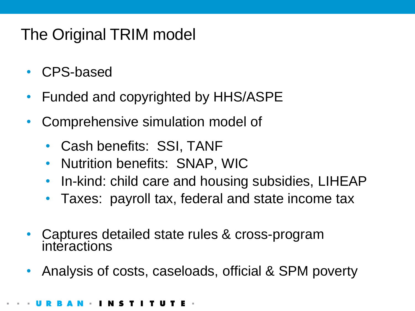# The Original TRIM model

- CPS-based
- Funded and copyrighted by HHS/ASPE
- Comprehensive simulation model of
	- Cash benefits: SSI, TANF
	- Nutrition benefits: SNAP, WIC
	- In-kind: child care and housing subsidies, LIHEAP
	- Taxes: payroll tax, federal and state income tax
- Captures detailed state rules & cross-program interactions
- Analysis of costs, caseloads, official & SPM poverty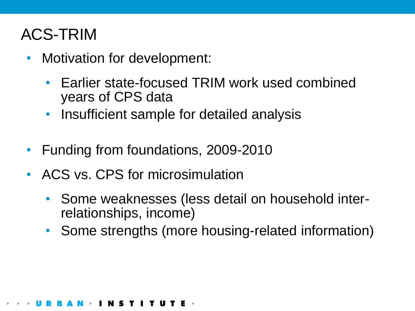# ACS-TRIM

- Motivation for development:
	- Earlier state-focused TRIM work used combined years of CPS data
	- Insufficient sample for detailed analysis
- Funding from foundations, 2009-2010
- ACS vs. CPS for microsimulation
	- Some weaknesses (less detail on household interrelationships, income)
	- Some strengths (more housing-related information)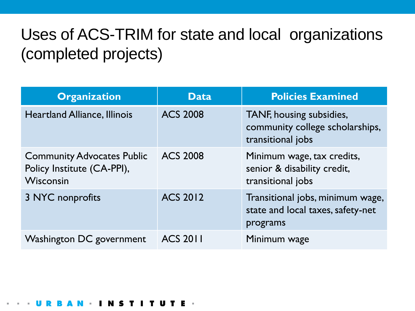# Uses of ACS-TRIM for state and local organizations (completed projects)

| <b>Organization</b>                                                          | <b>Data</b>     | <b>Policies Examined</b>                                                          |
|------------------------------------------------------------------------------|-----------------|-----------------------------------------------------------------------------------|
| <b>Heartland Alliance, Illinois</b>                                          | <b>ACS 2008</b> | TANF, housing subsidies,<br>community college scholarships,<br>transitional jobs  |
| <b>Community Advocates Public</b><br>Policy Institute (CA-PPI),<br>Wisconsin | <b>ACS 2008</b> | Minimum wage, tax credits,<br>senior & disability credit,<br>transitional jobs    |
| 3 NYC nonprofits                                                             | <b>ACS 2012</b> | Transitional jobs, minimum wage,<br>state and local taxes, safety-net<br>programs |
| Washington DC government                                                     | <b>ACS 2011</b> | Minimum wage                                                                      |

### U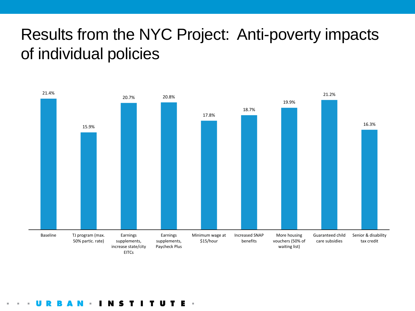# Results from the NYC Project: Anti-poverty impacts of individual policies



T I T U S ×.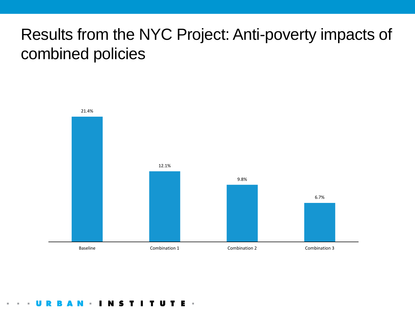# Results from the NYC Project: Anti-poverty impacts of combined policies



S I T . U т. Е ÎЩ,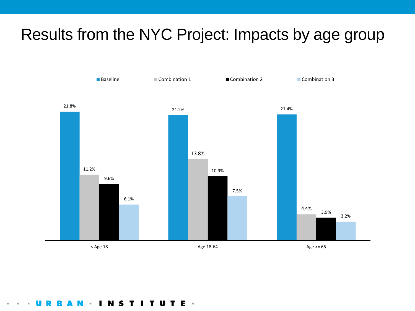## Results from the NYC Project: Impacts by age group



**NSTITUT** A N  $\sim$ E.

u,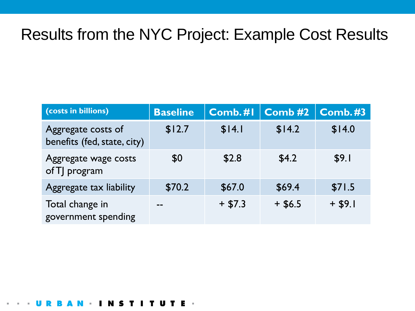## Results from the NYC Project: Example Cost Results

| (costs in billions)                               | <b>Baseline</b> | Comb.#I  | Comb#2    | <b>Comb.#3</b> |
|---------------------------------------------------|-----------------|----------|-----------|----------------|
| Aggregate costs of<br>benefits (fed, state, city) | \$12.7          | \$14.1   | \$14.2    | \$14.0         |
| Aggregate wage costs<br>of TJ program             | \$0             | \$2.8    | \$4.2     | \$9.1          |
| Aggregate tax liability                           | \$70.2          | \$67.0   | \$69.4    | \$71.5         |
| Total change in<br>government spending            | --              | $+ $7.3$ | $+$ \$6.5 | $+$ \$9.1      |

### I T U T ×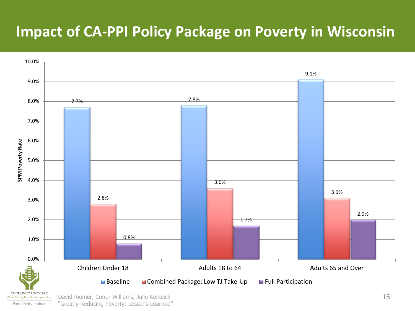### **Impact of CA-PPI Policy Package on Poverty in Wisconsin**



Public Policy Institute

"Greatly Reducing Poverty: Lessons Learned"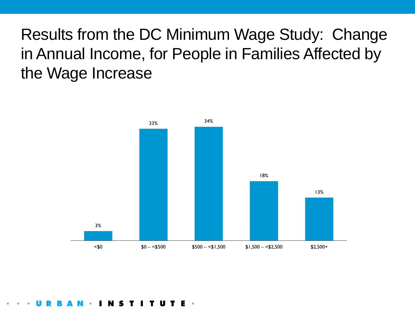# Results from the DC Minimum Wage Study: Change in Annual Income, for People in Families Affected by the Wage Increase

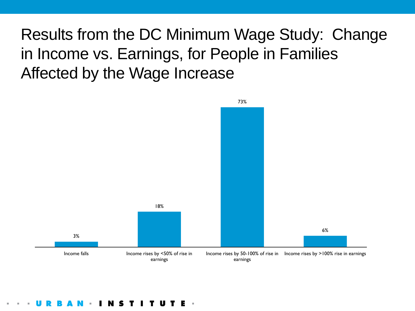# Results from the DC Minimum Wage Study: Change in Income vs. Earnings, for People in Families Affected by the Wage Increase

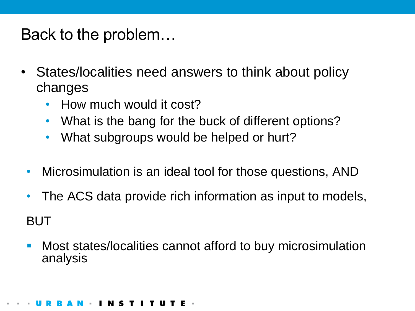Back to the problem…

- States/localities need answers to think about policy changes
	- How much would it cost?
	- What is the bang for the buck of different options?
	- What subgroups would be helped or hurt?
	- Microsimulation is an ideal tool for those questions, AND
	- The ACS data provide rich information as input to models, BUT
	- Most states/localities cannot afford to buy microsimulation analysis

### T I T U T INS.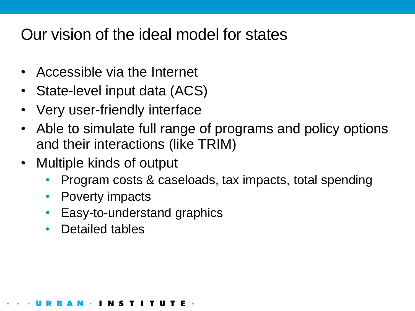# Our vision of the ideal model for states

- Accessible via the Internet
- State-level input data (ACS)
- Very user-friendly interface
- Able to simulate full range of programs and policy options and their interactions (like TRIM)
- Multiple kinds of output
	- Program costs & caseloads, tax impacts, total spending
	- Poverty impacts
	- Easy-to-understand graphics
	- Detailed tables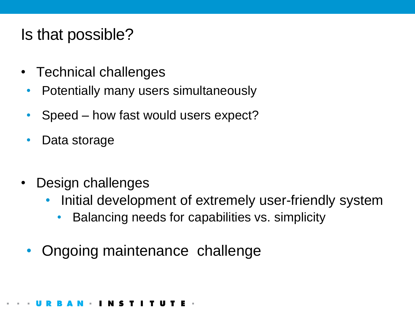# Is that possible?

- Technical challenges
	- Potentially many users simultaneously
	- Speed how fast would users expect?
	- Data storage
- Design challenges
	- Initial development of extremely user-friendly system
		- Balancing needs for capabilities vs. simplicity
	- Ongoing maintenance challenge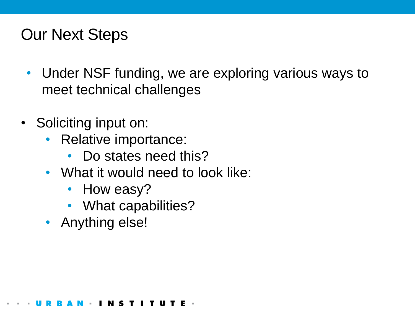# Our Next Steps

- Under NSF funding, we are exploring various ways to meet technical challenges
- Soliciting input on:
	- Relative importance:
		- Do states need this?
	- What it would need to look like:
		- How easy?
		- What capabilities?
	- Anything else!